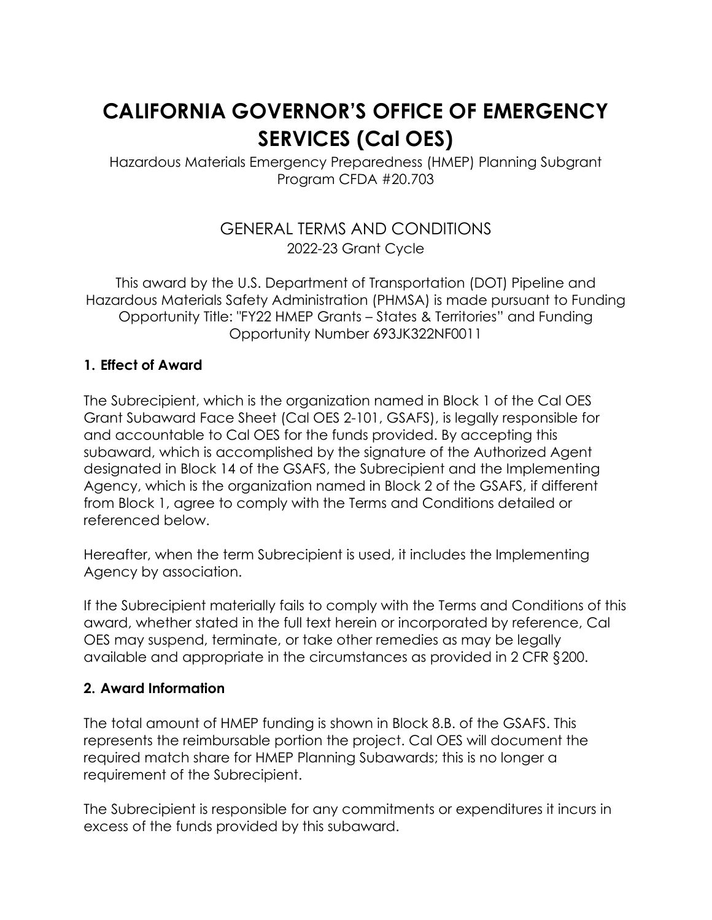# **CALIFORNIA GOVERNOR'S OFFICE OF EMERGENCY SERVICES (Cal OES)**

Hazardous Materials Emergency Preparedness (HMEP) Planning Subgrant Program CFDA #20.703

# GENERAL TERMS AND CONDITIONS 2022-23 Grant Cycle

This award by the U.S. Department of Transportation (DOT) Pipeline and Hazardous Materials Safety Administration (PHMSA) is made pursuant to Funding Opportunity Title: "FY22 HMEP Grants – States & Territories" and Funding Opportunity Number 693JK322NF0011

#### **1. Effect of Award**

The Subrecipient, which is the organization named in Block 1 of the Cal OES Grant Subaward Face Sheet (Cal OES 2-101, GSAFS), is legally responsible for and accountable to Cal OES for the funds provided. By accepting this subaward, which is accomplished by the signature of the Authorized Agent designated in Block 14 of the GSAFS, the Subrecipient and the Implementing Agency, which is the organization named in Block 2 of the GSAFS, if different from Block 1, agree to comply with the Terms and Conditions detailed or referenced below.

Hereafter, when the term Subrecipient is used, it includes the Implementing Agency by association.

If the Subrecipient materially fails to comply with the Terms and Conditions of this award, whether stated in the full text herein or incorporated by reference, Cal OES may suspend, terminate, or take other remedies as may be legally available and appropriate in the circumstances as provided in 2 CFR §200.

#### **2. Award Information**

The total amount of HMEP funding is shown in Block 8.B. of the GSAFS. This represents the reimbursable portion the project. Cal OES will document the required match share for HMEP Planning Subawards; this is no longer a requirement of the Subrecipient.

The Subrecipient is responsible for any commitments or expenditures it incurs in excess of the funds provided by this subaward.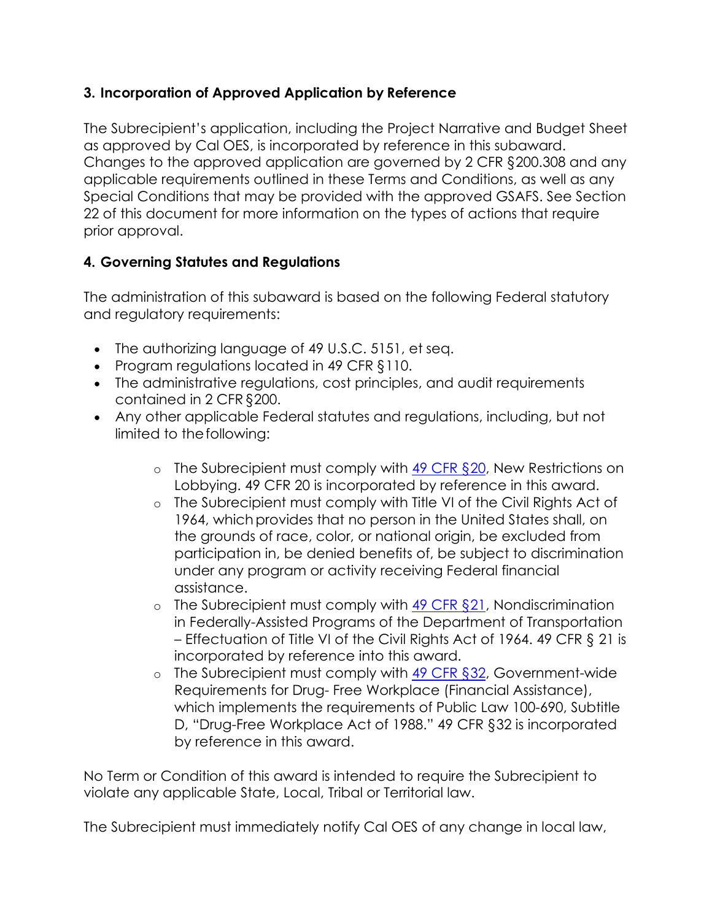## **3. Incorporation of Approved Application by Reference**

The Subrecipient's application, including the Project Narrative and Budget Sheet as approved by Cal OES, is incorporated by reference in this subaward. Changes to the approved application are governed by 2 CFR §200.308 and any applicable requirements outlined in these Terms and Conditions, as well as any Special Conditions that may be provided with the approved GSAFS. See Section 22 of this document for more information on the types of actions that require prior approval.

## **4. Governing Statutes and Regulations**

The administration of this subaward is based on the following Federal statutory and regulatory requirements:

- The authorizing language of 49 U.S.C. 5151, et seq.
- Program regulations located in 49 CFR §110.
- The administrative regulations, cost principles, and audit requirements contained in 2 CFR §200.
- Any other applicable Federal statutes and regulations, including, but not limited to the following:
	- $\circ$  The Subrecipient must comply with [49 CFR §20,](https://ecfr.io/Title-49/pt49.1.20) New Restrictions on Lobbying. 49 CFR 20 is incorporated by reference in this award.
	- o The Subrecipient must comply with Title VI of the Civil Rights Act of 1964, which provides that no person in the United States shall, on the grounds of race, color, or national origin, be excluded from participation in, be denied benefits of, be subject to discrimination under any program or activity receiving Federal financial assistance.
	- $\circ$  The Subrecipient must comply with  $\frac{49}{25}$  CFR  $\S 21$ , Nondiscrimination in Federally-Assisted Programs of the Department of Transportation – Effectuation of Title VI of the Civil Rights Act of 1964. 49 CFR § 21 is incorporated by reference into this award.
	- $\circ$  The Subrecipient must comply with [49 CFR §32,](https://ecfr.io/Title-49/pt49.1.32) Government-wide Requirements for Drug- Free Workplace (Financial Assistance), which implements the requirements of Public Law 100-690, Subtitle D, "Drug-Free Workplace Act of 1988." 49 CFR §32 is incorporated by reference in this award.

No Term or Condition of this award is intended to require the Subrecipient to violate any applicable State, Local, Tribal or Territorial law.

The Subrecipient must immediately notify Cal OES of any change in local law,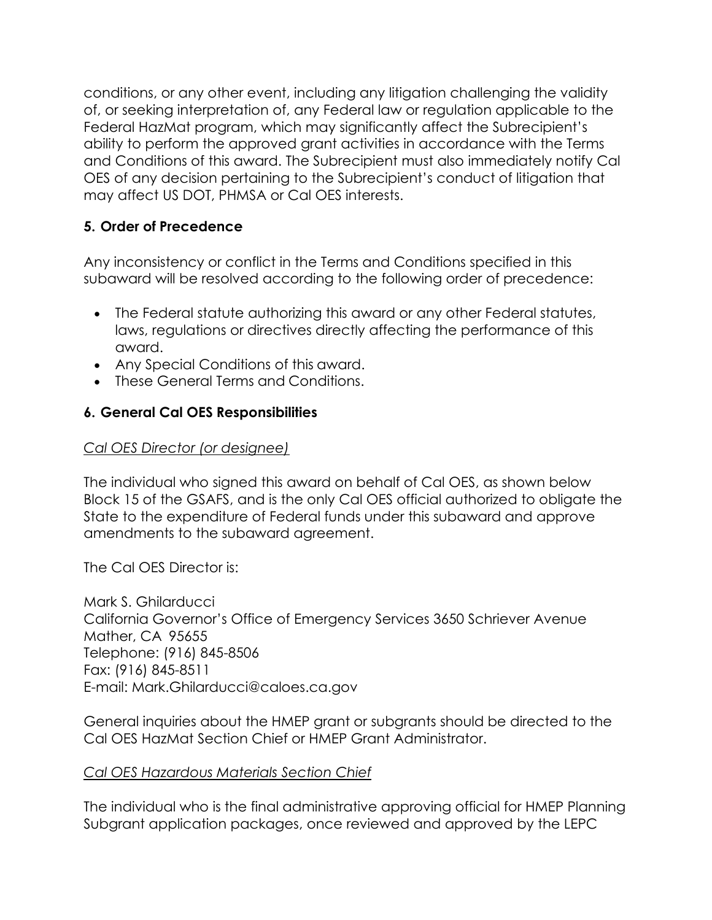conditions, or any other event, including any litigation challenging the validity of, or seeking interpretation of, any Federal law or regulation applicable to the Federal HazMat program, which may significantly affect the Subrecipient's ability to perform the approved grant activities in accordance with the Terms and Conditions of this award. The Subrecipient must also immediately notify Cal OES of any decision pertaining to the Subrecipient's conduct of litigation that may affect US DOT, PHMSA or Cal OES interests.

## **5. Order of Precedence**

Any inconsistency or conflict in the Terms and Conditions specified in this subaward will be resolved according to the following order of precedence:

- The Federal statute authorizing this award or any other Federal statutes, laws, regulations or directives directly affecting the performance of this award.
- Any Special Conditions of this award.
- These General Terms and Conditions.

## **6. General Cal OES Responsibilities**

## *Cal OES Director (or designee)*

The individual who signed this award on behalf of Cal OES, as shown below Block 15 of the GSAFS, and is the only Cal OES official authorized to obligate the State to the expenditure of Federal funds under this subaward and approve amendments to the subaward agreement.

The Cal OES Director is:

Mark S. Ghilarducci California Governor's Office of Emergency Services 3650 Schriever Avenue Mather, CA 95655 Telephone: (916) 845-8506 Fax: (916) 845-8511 E-mail: [Mark.Ghilarducci@caloes.ca.gov](mailto:Mark.Ghilarducci@caloes.ca.gov) 

General inquiries about the HMEP grant or subgrants should be directed to the Cal OES HazMat Section Chief or HMEP Grant Administrator.

#### *Cal OES Hazardous Materials Section Chief*

The individual who is the final administrative approving official for HMEP Planning Subgrant application packages, once reviewed and approved by the LEPC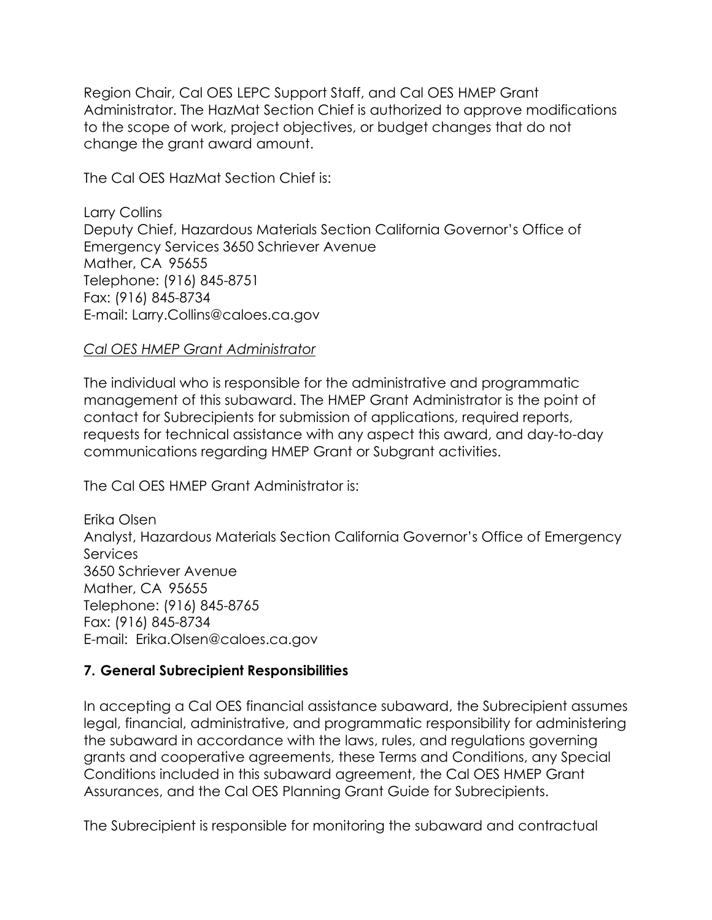Region Chair, Cal OES LEPC Support Staff, and Cal OES HMEP Grant Administrator. The HazMat Section Chief is authorized to approve modifications to the scope of work, project objectives, or budget changes that do not change the grant award amount.

The Cal OES HazMat Section Chief is:

Larry Collins Deputy Chief, Hazardous Materials Section California Governor's Office of Emergency Services 3650 Schriever Avenue Mather, CA 95655 Telephone: (916) 845-8751 Fax: (916) 845-8734 E-mail: Larry.Collins@caloes.ca.gov

#### *Cal OES HMEP Grant Administrator*

The individual who is responsible for the administrative and programmatic management of this subaward. The HMEP Grant Administrator is the point of contact for Subrecipients for submission of applications, required reports, requests for technical assistance with any aspect this award, and day-to-day communications regarding HMEP Grant or Subgrant activities.

The Cal OES HMEP Grant Administrator is:

Erika Olsen Analyst, Hazardous Materials Section California Governor's Office of Emergency Services 3650 Schriever Avenue Mather, CA 95655 Telephone: (916) 845-8765 Fax: (916) 845-8734 E-mail: Erika.Olsen@caloes.ca.gov

#### **7. General Subrecipient Responsibilities**

In accepting a Cal OES financial assistance subaward, the Subrecipient assumes legal, financial, administrative, and programmatic responsibility for administering the subaward in accordance with the laws, rules, and regulations governing grants and cooperative agreements, these Terms and Conditions, any Special Conditions included in this subaward agreement, the Cal OES HMEP Grant Assurances, and the Cal OES Planning Grant Guide for Subrecipients.

The Subrecipient is responsible for monitoring the subaward and contractual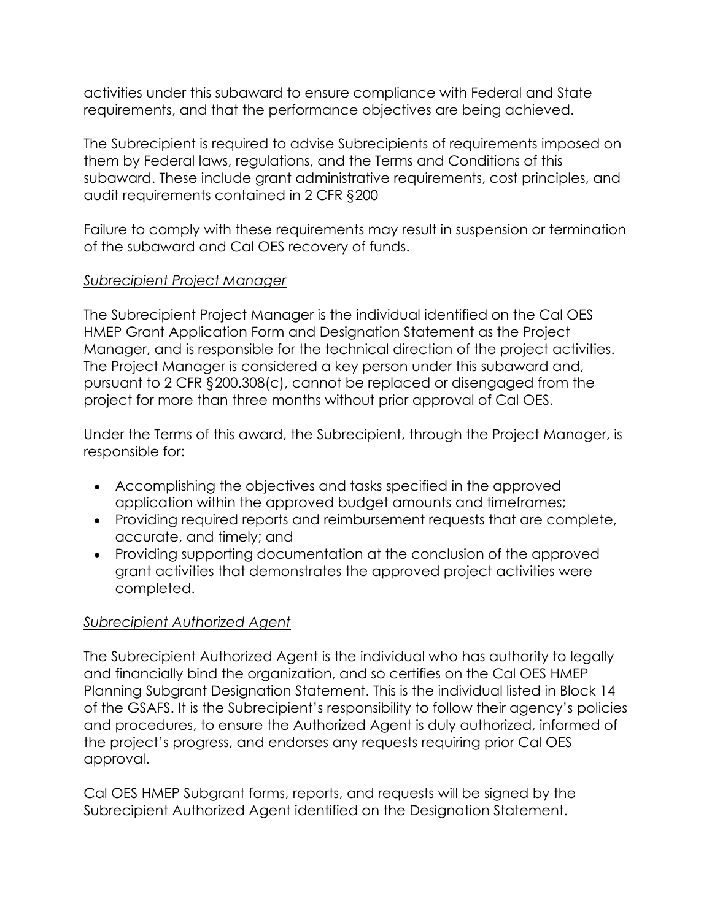activities under this subaward to ensure compliance with Federal and State requirements, and that the performance objectives are being achieved.

The Subrecipient is required to advise Subrecipients of requirements imposed on them by Federal laws, regulations, and the Terms and Conditions of this subaward. These include grant administrative requirements, cost principles, and audit requirements contained in 2 CFR §200

Failure to comply with these requirements may result in suspension or termination of the subaward and Cal OES recovery of funds.

#### *Subrecipient Project Manager*

The Subrecipient Project Manager is the individual identified on the Cal OES HMEP Grant Application Form and Designation Statement as the Project Manager, and is responsible for the technical direction of the project activities. The Project Manager is considered a key person under this subaward and, pursuant to 2 CFR §200.308(c), cannot be replaced or disengaged from the project for more than three months without prior approval of Cal OES.

Under the Terms of this award, the Subrecipient, through the Project Manager, is responsible for:

- Accomplishing the objectives and tasks specified in the approved application within the approved budget amounts and timeframes;
- Providing required reports and reimbursement requests that are complete, accurate, and timely; and
- Providing supporting documentation at the conclusion of the approved grant activities that demonstrates the approved project activities were completed.

## *Subrecipient Authorized Agent*

The Subrecipient Authorized Agent is the individual who has authority to legally and financially bind the organization, and so certifies on the Cal OES HMEP Planning Subgrant Designation Statement. This is the individual listed in Block 14 of the GSAFS. It is the Subrecipient's responsibility to follow their agency's policies and procedures, to ensure the Authorized Agent is duly authorized, informed of the project's progress, and endorses any requests requiring prior Cal OES approval.

Cal OES HMEP Subgrant forms, reports, and requests will be signed by the Subrecipient Authorized Agent identified on the Designation Statement.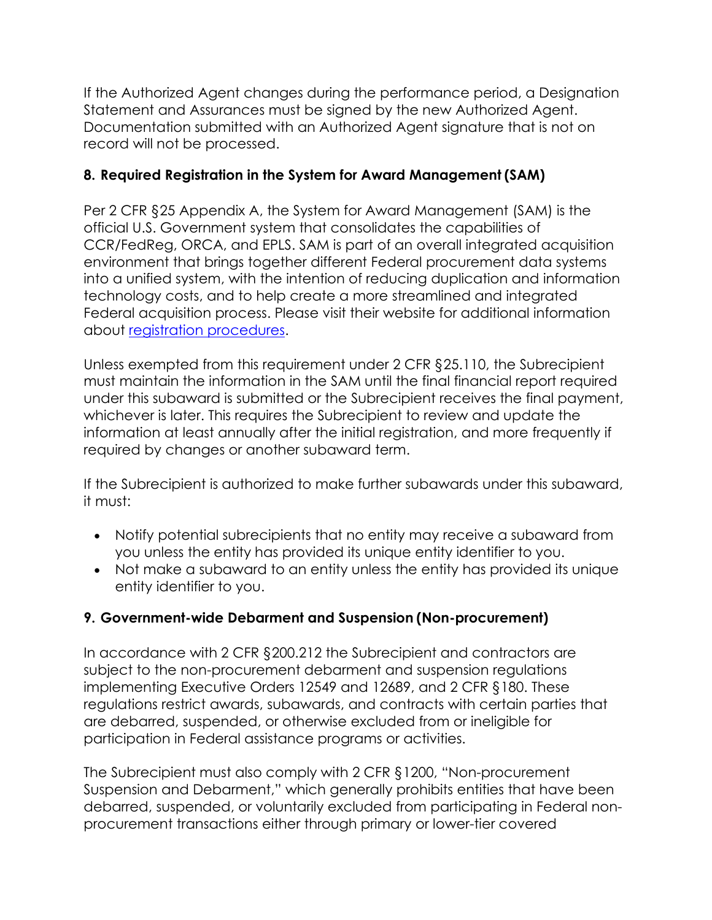If the Authorized Agent changes during the performance period, a Designation Statement and Assurances must be signed by the new Authorized Agent. Documentation submitted with an Authorized Agent signature that is not on record will not be processed.

## **8. Required Registration in the System for Award Management (SAM)**

Per 2 CFR §25 Appendix A, the System for Award Management (SAM) is the official U.S. Government system that consolidates the capabilities of CCR/FedReg, ORCA, and EPLS. SAM is part of an overall integrated acquisition environment that brings together different Federal procurement data systems into a unified system, with the intention of reducing duplication and information technology costs, and to help create a more streamlined and integrated Federal acquisition process. Please visit their website for additional information about [registration procedures.](https://www.sam.gov/SAM/)

Unless exempted from this requirement under 2 CFR §25.110, the Subrecipient must maintain the information in the SAM until the final financial report required under this subaward is submitted or the Subrecipient receives the final payment, whichever is later. This requires the Subrecipient to review and update the information at least annually after the initial registration, and more frequently if required by changes or another subaward term.

If the Subrecipient is authorized to make further subawards under this subaward, it must:

- Notify potential subrecipients that no entity may receive a subaward from you unless the entity has provided its unique entity identifier to you.
- Not make a subaward to an entity unless the entity has provided its unique entity identifier to you.

## **9. Government-wide Debarment and Suspension (Non-procurement)**

In accordance with 2 CFR §200.212 the Subrecipient and contractors are subject to the non-procurement debarment and suspension regulations implementing Executive Orders 12549 and 12689, and 2 CFR §180. These regulations restrict awards, subawards, and contracts with certain parties that are debarred, suspended, or otherwise excluded from or ineligible for participation in Federal assistance programs or activities.

The Subrecipient must also comply with 2 CFR §1200, "Non-procurement Suspension and Debarment," which generally prohibits entities that have been debarred, suspended, or voluntarily excluded from participating in Federal nonprocurement transactions either through primary or lower-tier covered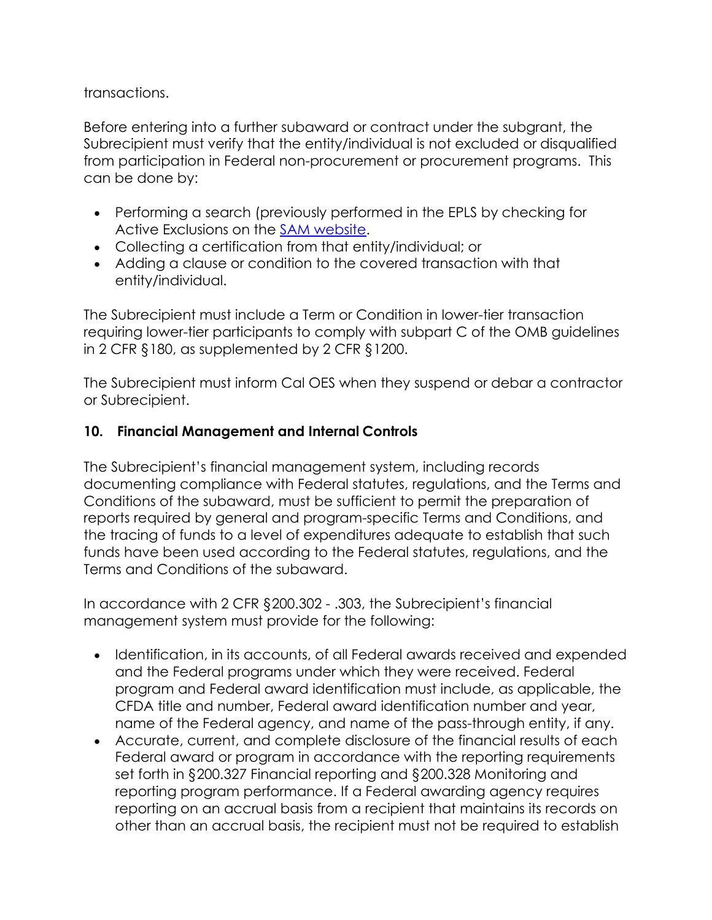transactions.

Before entering into a further subaward or contract under the subgrant, the Subrecipient must verify that the entity/individual is not excluded or disqualified from participation in Federal non-procurement or procurement programs. This can be done by:

- Performing a search (previously performed in the EPLS by checking for Active Exclusions on the **SAM website.**
- Collecting a certification from that entity/individual; or
- Adding a clause or condition to the covered transaction with that entity/individual.

The Subrecipient must include a Term or Condition in lower-tier transaction requiring lower-tier participants to comply with subpart C of the OMB guidelines in 2 CFR §180, as supplemented by 2 CFR §1200.

The Subrecipient must inform Cal OES when they suspend or debar a contractor or Subrecipient.

## **10. Financial Management and Internal Controls**

The Subrecipient's financial management system, including records documenting compliance with Federal statutes, regulations, and the Terms and Conditions of the subaward, must be sufficient to permit the preparation of reports required by general and program-specific Terms and Conditions, and the tracing of funds to a level of expenditures adequate to establish that such funds have been used according to the Federal statutes, regulations, and the Terms and Conditions of the subaward.

In accordance with 2 CFR §200.302 - .303, the Subrecipient's financial management system must provide for the following:

- Identification, in its accounts, of all Federal awards received and expended and the Federal programs under which they were received. Federal program and Federal award identification must include, as applicable, the CFDA title and number, Federal award identification number and year, name of the Federal agency, and name of the pass-through entity, if any.
- Accurate, current, and complete disclosure of the financial results of each Federal award or program in accordance with the reporting requirements set forth in §200.327 Financial reporting and §200.328 Monitoring and reporting program performance. If a Federal awarding agency requires reporting on an accrual basis from a recipient that maintains its records on other than an accrual basis, the recipient must not be required to establish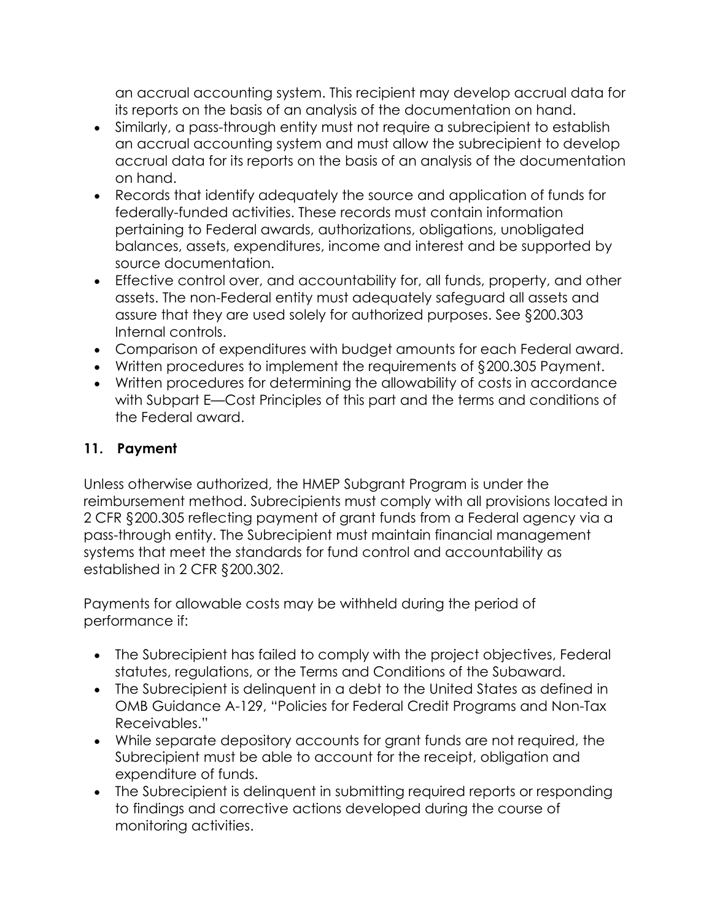an accrual accounting system. This recipient may develop accrual data for its reports on the basis of an analysis of the documentation on hand.

- Similarly, a pass-through entity must not require a subrecipient to establish an accrual accounting system and must allow the subrecipient to develop accrual data for its reports on the basis of an analysis of the documentation on hand.
- Records that identify adequately the source and application of funds for federally-funded activities. These records must contain information pertaining to Federal awards, authorizations, obligations, unobligated balances, assets, expenditures, income and interest and be supported by source documentation.
- Effective control over, and accountability for, all funds, property, and other assets. The non-Federal entity must adequately safeguard all assets and assure that they are used solely for authorized purposes. See §200.303 Internal controls.
- Comparison of expenditures with budget amounts for each Federal award.
- Written procedures to implement the requirements of §200.305 Payment.
- Written procedures for determining the allowability of costs in accordance with Subpart E—Cost Principles of this part and the terms and conditions of the Federal award.

## **11. Payment**

Unless otherwise authorized, the HMEP Subgrant Program is under the reimbursement method. Subrecipients must comply with all provisions located in 2 CFR §200.305 reflecting payment of grant funds from a Federal agency via a pass-through entity. The Subrecipient must maintain financial management systems that meet the standards for fund control and accountability as established in 2 CFR §200.302.

Payments for allowable costs may be withheld during the period of performance if:

- The Subrecipient has failed to comply with the project objectives, Federal statutes, regulations, or the Terms and Conditions of the Subaward.
- The Subrecipient is delinquent in a debt to the United States as defined in OMB Guidance A-129, "Policies for Federal Credit Programs and Non-Tax Receivables."
- While separate depository accounts for grant funds are not required, the Subrecipient must be able to account for the receipt, obligation and expenditure of funds.
- The Subrecipient is delinguent in submitting required reports or responding to findings and corrective actions developed during the course of monitoring activities.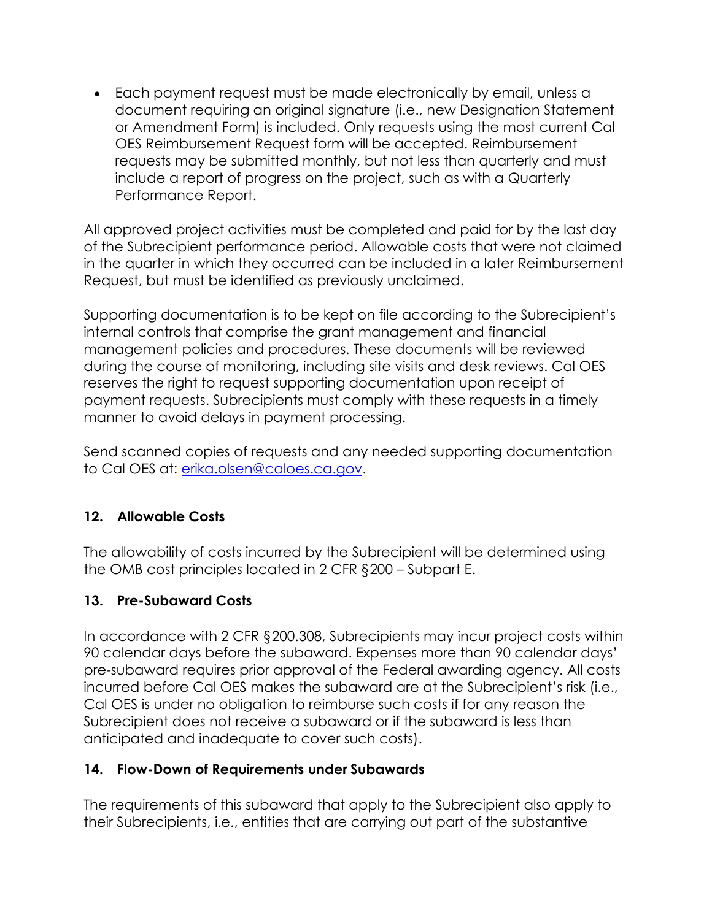• Each payment request must be made electronically by email, unless a document requiring an original signature (i.e., new Designation Statement or Amendment Form) is included. Only requests using the most current Cal OES Reimbursement Request form will be accepted. Reimbursement requests may be submitted monthly, but not less than quarterly and must include a report of progress on the project, such as with a Quarterly Performance Report.

All approved project activities must be completed and paid for by the last day of the Subrecipient performance period. Allowable costs that were not claimed in the quarter in which they occurred can be included in a later Reimbursement Request, but must be identified as previously unclaimed.

Supporting documentation is to be kept on file according to the Subrecipient's internal controls that comprise the grant management and financial management policies and procedures. These documents will be reviewed during the course of monitoring, including site visits and desk reviews. Cal OES reserves the right to request supporting documentation upon receipt of payment requests. Subrecipients must comply with these requests in a timely manner to avoid delays in payment processing.

Send scanned copies of requests and any needed supporting documentation to Cal OES at: [erika.olsen@caloes.ca.gov.](mailto:erika.olsen@caloes.ca.gov)

## **12. Allowable Costs**

The allowability of costs incurred by the Subrecipient will be determined using the OMB cost principles located in 2 CFR §200 – Subpart E.

## **13. Pre-Subaward Costs**

In accordance with 2 CFR §200.308, Subrecipients may incur project costs within 90 calendar days before the subaward. Expenses more than 90 calendar days' pre-subaward requires prior approval of the Federal awarding agency. All costs incurred before Cal OES makes the subaward are at the Subrecipient's risk (i.e., Cal OES is under no obligation to reimburse such costs if for any reason the Subrecipient does not receive a subaward or if the subaward is less than anticipated and inadequate to cover such costs).

## **14. Flow-Down of Requirements under Subawards**

The requirements of this subaward that apply to the Subrecipient also apply to their Subrecipients, i.e., entities that are carrying out part of the substantive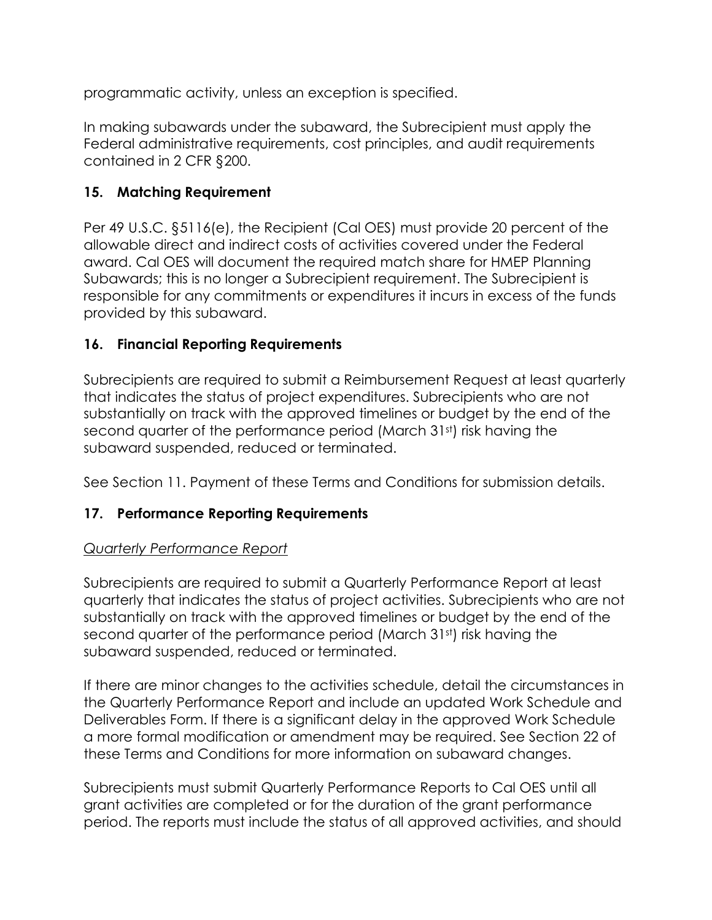programmatic activity, unless an exception is specified.

In making subawards under the subaward, the Subrecipient must apply the Federal administrative requirements, cost principles, and audit requirements contained in 2 CFR §200.

## **15. Matching Requirement**

Per 49 U.S.C. §5116(e), the Recipient (Cal OES) must provide 20 percent of the allowable direct and indirect costs of activities covered under the Federal award. Cal OES will document the required match share for HMEP Planning Subawards; this is no longer a Subrecipient requirement. The Subrecipient is responsible for any commitments or expenditures it incurs in excess of the funds provided by this subaward.

## **16. Financial Reporting Requirements**

Subrecipients are required to submit a Reimbursement Request at least quarterly that indicates the status of project expenditures. Subrecipients who are not substantially on track with the approved timelines or budget by the end of the second quarter of the performance period (March 31<sup>st</sup>) risk having the subaward suspended, reduced or terminated.

See Section 11. Payment of these Terms and Conditions for submission details.

## **17. Performance Reporting Requirements**

#### *Quarterly Performance Report*

Subrecipients are required to submit a Quarterly Performance Report at least quarterly that indicates the status of project activities. Subrecipients who are not substantially on track with the approved timelines or budget by the end of the second quarter of the performance period (March 31st) risk having the subaward suspended, reduced or terminated.

If there are minor changes to the activities schedule, detail the circumstances in the Quarterly Performance Report and include an updated Work Schedule and Deliverables Form. If there is a significant delay in the approved Work Schedule a more formal modification or amendment may be required. See Section 22 of these Terms and Conditions for more information on subaward changes.

Subrecipients must submit Quarterly Performance Reports to Cal OES until all grant activities are completed or for the duration of the grant performance period. The reports must include the status of all approved activities, and should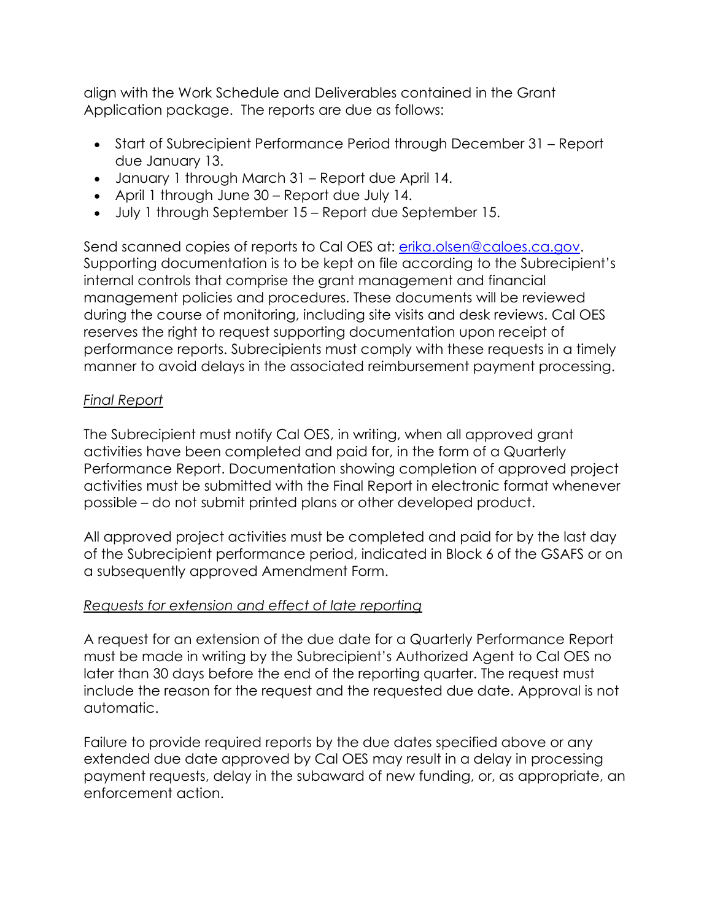align with the Work Schedule and Deliverables contained in the Grant Application package. The reports are due as follows:

- Start of Subrecipient Performance Period through December 31 Report due January 13.
- January 1 through March 31 Report due April 14.
- April 1 through June 30 Report due July 14.
- July 1 through September 15 Report due September 15.

Send scanned copies of reports to Cal OES at: [erika.olsen@caloes.ca.gov.](mailto:erika.olsen@caloes.ca.gov) Supporting documentation is to be kept on file according to the Subrecipient's internal controls that comprise the grant management and financial management policies and procedures. These documents will be reviewed during the course of monitoring, including site visits and desk reviews. Cal OES reserves the right to request supporting documentation upon receipt of performance reports. Subrecipients must comply with these requests in a timely manner to avoid delays in the associated reimbursement payment processing.

## *Final Report*

The Subrecipient must notify Cal OES, in writing, when all approved grant activities have been completed and paid for, in the form of a Quarterly Performance Report. Documentation showing completion of approved project activities must be submitted with the Final Report in electronic format whenever possible – do not submit printed plans or other developed product.

All approved project activities must be completed and paid for by the last day of the Subrecipient performance period, indicated in Block 6 of the GSAFS or on a subsequently approved Amendment Form.

## *Requests for extension and effect of late reporting*

A request for an extension of the due date for a Quarterly Performance Report must be made in writing by the Subrecipient's Authorized Agent to Cal OES no later than 30 days before the end of the reporting quarter. The request must include the reason for the request and the requested due date. Approval is not automatic.

Failure to provide required reports by the due dates specified above or any extended due date approved by Cal OES may result in a delay in processing payment requests, delay in the subaward of new funding, or, as appropriate, an enforcement action.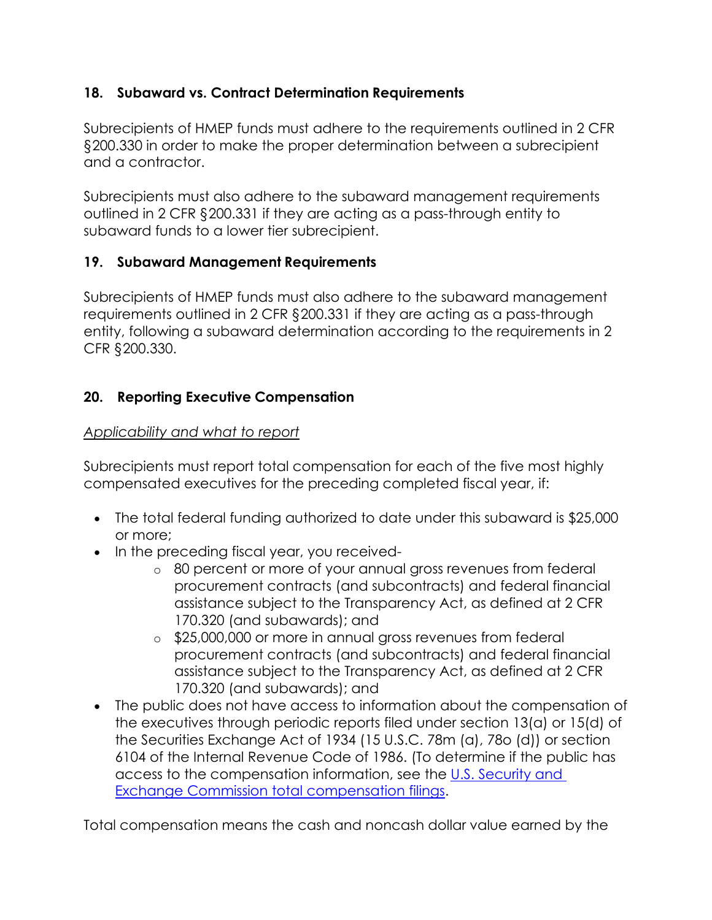## **18. Subaward vs. Contract Determination Requirements**

Subrecipients of HMEP funds must adhere to the requirements outlined in 2 CFR §200.330 in order to make the proper determination between a subrecipient and a contractor.

Subrecipients must also adhere to the subaward management requirements outlined in 2 CFR §200.331 if they are acting as a pass-through entity to subaward funds to a lower tier subrecipient.

## **19. Subaward Management Requirements**

Subrecipients of HMEP funds must also adhere to the subaward management requirements outlined in 2 CFR §200.331 if they are acting as a pass-through entity, following a subaward determination according to the requirements in 2 CFR §200.330.

## **20. Reporting Executive Compensation**

## *Applicability and what to report*

Subrecipients must report total compensation for each of the five most highly compensated executives for the preceding completed fiscal year, if:

- The total federal funding authorized to date under this subaward is \$25,000 or more;
- In the preceding fiscal year, you received
	- o 80 percent or more of your annual gross revenues from federal procurement contracts (and subcontracts) and federal financial assistance subject to the Transparency Act, as defined at 2 CFR 170.320 (and subawards); and
	- o \$25,000,000 or more in annual gross revenues from federal procurement contracts (and subcontracts) and federal financial assistance subject to the Transparency Act, as defined at 2 CFR 170.320 (and subawards); and
- The public does not have access to information about the compensation of the executives through periodic reports filed under section 13(a) or 15(d) of the Securities Exchange Act of 1934 (15 U.S.C. 78m (a), 78o (d)) or section 6104 of the Internal Revenue Code of 1986. (To determine if the public has access to the compensation information, see the [U.S. Security and](https://www.sec.gov/fast-answers/answers-execomphtm.html)  [Exchange Commission total compensation filings.](https://www.sec.gov/fast-answers/answers-execomphtm.html)

Total compensation means the cash and noncash dollar value earned by the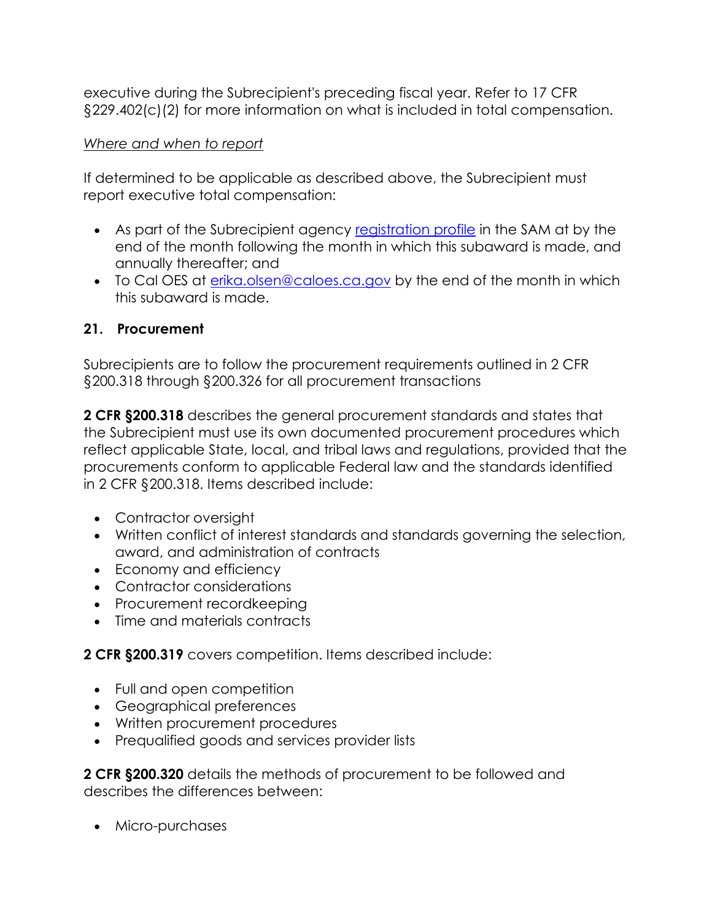executive during the Subrecipient's preceding fiscal year. Refer to 17 CFR §229.402(c)(2) for more information on what is included in total compensation.

#### *Where and when to report*

If determined to be applicable as described above, the Subrecipient must report executive total compensation:

- As part of the Subrecipient agency [registration profile](https://www.sam.gov/SAM/) in the SAM at by the end of the month following the month in which this subaward is made, and annually thereafter; and
- To Cal OES at [erika.olsen@caloes.ca.gov](mailto:erika.olsen@caloes.ca.gov) by the end of the month in which this subaward is made.

## **21. Procurement**

Subrecipients are to follow the procurement requirements outlined in 2 CFR §200.318 through §200.326 for all procurement transactions

**2 CFR §200.318** describes the general procurement standards and states that the Subrecipient must use its own documented procurement procedures which reflect applicable State, local, and tribal laws and regulations, provided that the procurements conform to applicable Federal law and the standards identified in 2 CFR §200.318. Items described include:

- Contractor oversight
- Written conflict of interest standards and standards governing the selection, award, and administration of contracts
- Economy and efficiency
- Contractor considerations
- Procurement recordkeeping
- Time and materials contracts

**2 CFR §200.319** covers competition. Items described include:

- Full and open competition
- Geographical preferences
- Written procurement procedures
- Prequalified goods and services provider lists

**2 CFR §200.320** details the methods of procurement to be followed and describes the differences between:

• Micro-purchases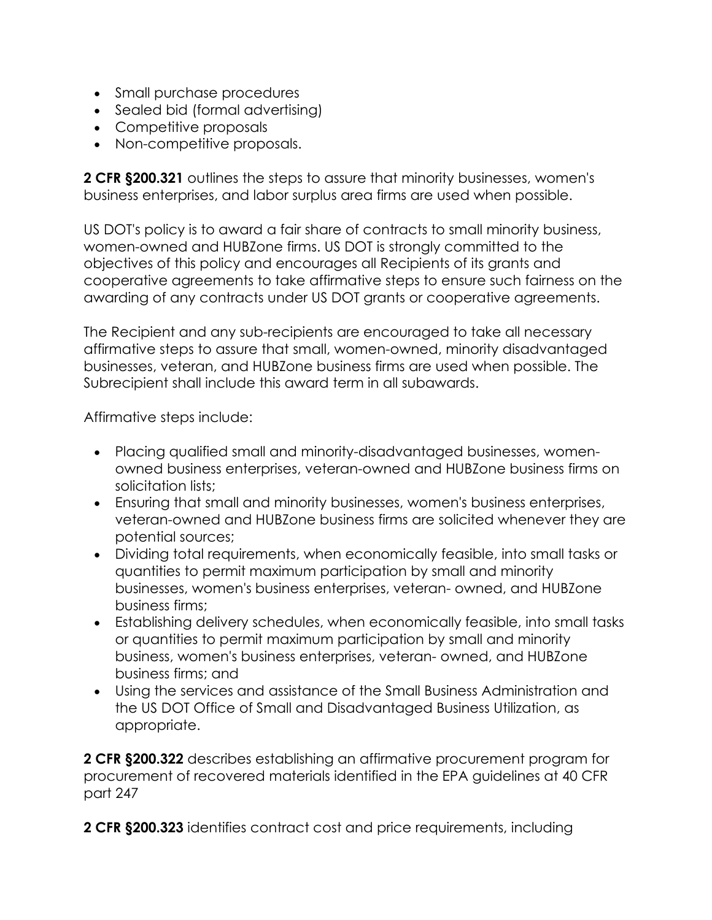- Small purchase procedures
- Sealed bid (formal advertising)
- Competitive proposals
- Non-competitive proposals.

**2 CFR §200.321** outlines the steps to assure that minority businesses, women's business enterprises, and labor surplus area firms are used when possible.

US DOT's policy is to award a fair share of contracts to small minority business, women-owned and HUBZone firms. US DOT is strongly committed to the objectives of this policy and encourages all Recipients of its grants and cooperative agreements to take affirmative steps to ensure such fairness on the awarding of any contracts under US DOT grants or cooperative agreements.

The Recipient and any sub-recipients are encouraged to take all necessary affirmative steps to assure that small, women-owned, minority disadvantaged businesses, veteran, and HUBZone business firms are used when possible. The Subrecipient shall include this award term in all subawards.

Affirmative steps include:

- Placing qualified small and minority-disadvantaged businesses, womenowned business enterprises, veteran-owned and HUBZone business firms on solicitation lists;
- Ensuring that small and minority businesses, women's business enterprises, veteran-owned and HUBZone business firms are solicited whenever they are potential sources;
- Dividing total requirements, when economically feasible, into small tasks or quantities to permit maximum participation by small and minority businesses, women's business enterprises, veteran- owned, and HUBZone business firms;
- Establishing delivery schedules, when economically feasible, into small tasks or quantities to permit maximum participation by small and minority business, women's business enterprises, veteran- owned, and HUBZone business firms; and
- Using the services and assistance of the Small Business Administration and the US DOT Office of Small and Disadvantaged Business Utilization, as appropriate.

**2 CFR §200.322** describes establishing an affirmative procurement program for procurement of recovered materials identified in the EPA guidelines at 40 CFR part 247

**2 CFR §200.323** identifies contract cost and price requirements, including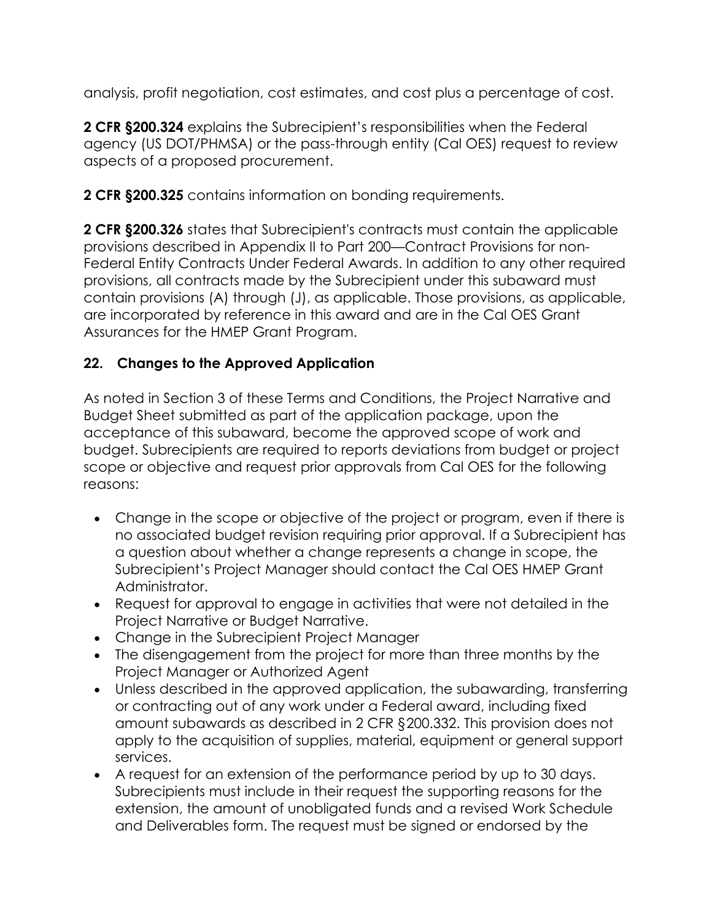analysis, profit negotiation, cost estimates, and cost plus a percentage of cost.

**2 CFR §200.324** explains the Subrecipient's responsibilities when the Federal agency (US DOT/PHMSA) or the pass-through entity (Cal OES) request to review aspects of a proposed procurement.

**2 CFR §200.325** contains information on bonding requirements.

**2 CFR §200.326** states that Subrecipient's contracts must contain the applicable provisions described in Appendix II to Part 200—Contract Provisions for non-Federal Entity Contracts Under Federal Awards. In addition to any other required provisions, all contracts made by the Subrecipient under this subaward must contain provisions (A) through (J), as applicable. Those provisions, as applicable, are incorporated by reference in this award and are in the Cal OES Grant Assurances for the HMEP Grant Program.

# **22. Changes to the Approved Application**

As noted in Section 3 of these Terms and Conditions, the Project Narrative and Budget Sheet submitted as part of the application package, upon the acceptance of this subaward, become the approved scope of work and budget. Subrecipients are required to reports deviations from budget or project scope or objective and request prior approvals from Cal OES for the following reasons:

- Change in the scope or objective of the project or program, even if there is no associated budget revision requiring prior approval. If a Subrecipient has a question about whether a change represents a change in scope, the Subrecipient's Project Manager should contact the Cal OES HMEP Grant Administrator.
- Request for approval to engage in activities that were not detailed in the Project Narrative or Budget Narrative.
- Change in the Subrecipient Project Manager
- The disengagement from the project for more than three months by the Project Manager or Authorized Agent
- Unless described in the approved application, the subawarding, transferring or contracting out of any work under a Federal award, including fixed amount subawards as described in 2 CFR §200.332. This provision does not apply to the acquisition of supplies, material, equipment or general support services.
- A request for an extension of the performance period by up to 30 days. Subrecipients must include in their request the supporting reasons for the extension, the amount of unobligated funds and a revised Work Schedule and Deliverables form. The request must be signed or endorsed by the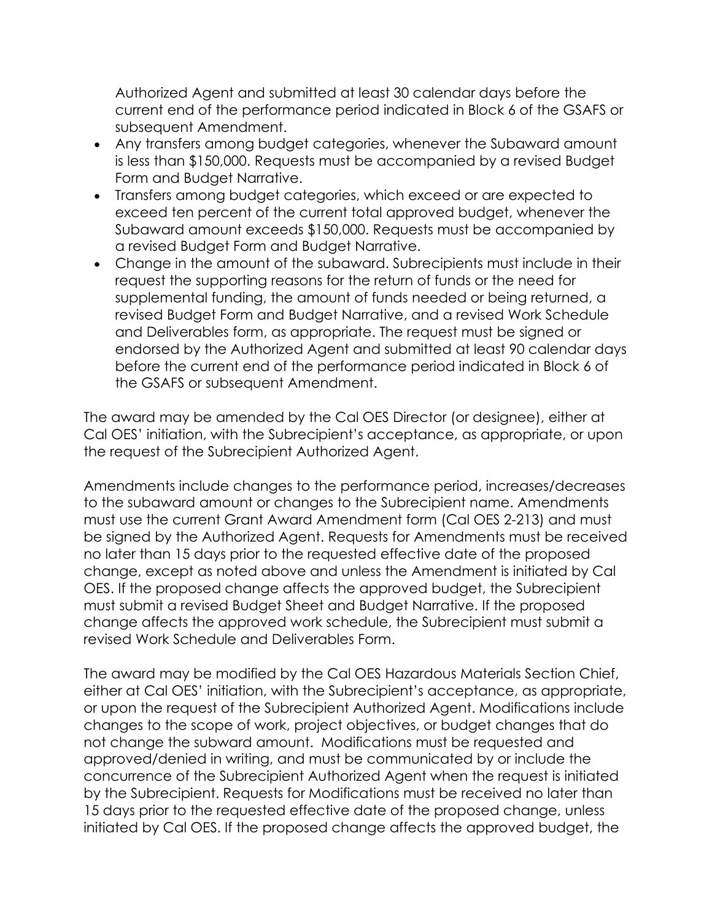Authorized Agent and submitted at least 30 calendar days before the current end of the performance period indicated in Block 6 of the GSAFS or subsequent Amendment.

- Any transfers among budget categories, whenever the Subaward amount is less than \$150,000. Requests must be accompanied by a revised Budget Form and Budget Narrative.
- Transfers among budget categories, which exceed or are expected to exceed ten percent of the current total approved budget, whenever the Subaward amount exceeds \$150,000. Requests must be accompanied by a revised Budget Form and Budget Narrative.
- Change in the amount of the subaward. Subrecipients must include in their request the supporting reasons for the return of funds or the need for supplemental funding, the amount of funds needed or being returned, a revised Budget Form and Budget Narrative, and a revised Work Schedule and Deliverables form, as appropriate. The request must be signed or endorsed by the Authorized Agent and submitted at least 90 calendar days before the current end of the performance period indicated in Block 6 of the GSAFS or subsequent Amendment.

The award may be amended by the Cal OES Director (or designee), either at Cal OES' initiation, with the Subrecipient's acceptance, as appropriate, or upon the request of the Subrecipient Authorized Agent.

Amendments include changes to the performance period, increases/decreases to the subaward amount or changes to the Subrecipient name. Amendments must use the current Grant Award Amendment form (Cal OES 2-213) and must be signed by the Authorized Agent. Requests for Amendments must be received no later than 15 days prior to the requested effective date of the proposed change, except as noted above and unless the Amendment is initiated by Cal OES. If the proposed change affects the approved budget, the Subrecipient must submit a revised Budget Sheet and Budget Narrative. If the proposed change affects the approved work schedule, the Subrecipient must submit a revised Work Schedule and Deliverables Form.

The award may be modified by the Cal OES Hazardous Materials Section Chief, either at Cal OES' initiation, with the Subrecipient's acceptance, as appropriate, or upon the request of the Subrecipient Authorized Agent. Modifications include changes to the scope of work, project objectives, or budget changes that do not change the subward amount. Modifications must be requested and approved/denied in writing, and must be communicated by or include the concurrence of the Subrecipient Authorized Agent when the request is initiated by the Subrecipient. Requests for Modifications must be received no later than 15 days prior to the requested effective date of the proposed change, unless initiated by Cal OES. If the proposed change affects the approved budget, the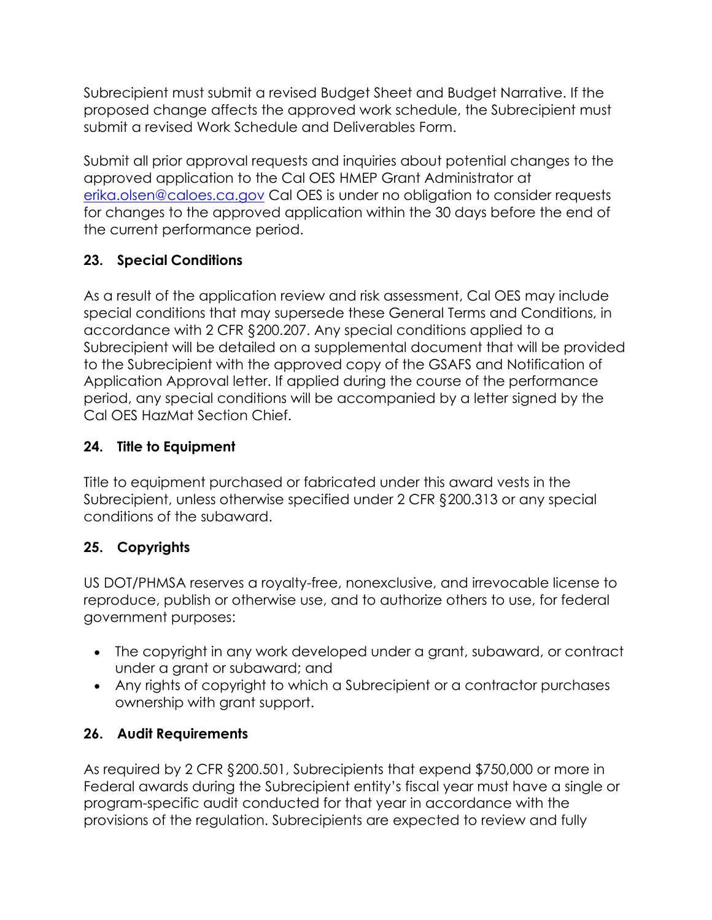Subrecipient must submit a revised Budget Sheet and Budget Narrative. If the proposed change affects the approved work schedule, the Subrecipient must submit a revised Work Schedule and Deliverables Form.

Submit all prior approval requests and inquiries about potential changes to the approved application to the Cal OES HMEP Grant Administrator at [erika.olsen@caloes.ca.gov](mailto:erika.olsen@caloes.ca.gov) Cal OES is under no obligation to consider requests for changes to the approved application within the 30 days before the end of the current performance period.

# **23. Special Conditions**

As a result of the application review and risk assessment, Cal OES may include special conditions that may supersede these General Terms and Conditions, in accordance with 2 CFR §200.207. Any special conditions applied to a Subrecipient will be detailed on a supplemental document that will be provided to the Subrecipient with the approved copy of the GSAFS and Notification of Application Approval letter. If applied during the course of the performance period, any special conditions will be accompanied by a letter signed by the Cal OES HazMat Section Chief.

## **24. Title to Equipment**

Title to equipment purchased or fabricated under this award vests in the Subrecipient, unless otherwise specified under 2 CFR §200.313 or any special conditions of the subaward.

# **25. Copyrights**

US DOT/PHMSA reserves a royalty-free, nonexclusive, and irrevocable license to reproduce, publish or otherwise use, and to authorize others to use, for federal government purposes:

- The copyright in any work developed under a grant, subaward, or contract under a grant or subaward; and
- Any rights of copyright to which a Subrecipient or a contractor purchases ownership with grant support.

## **26. Audit Requirements**

As required by 2 CFR §200.501, Subrecipients that expend \$750,000 or more in Federal awards during the Subrecipient entity's fiscal year must have a single or program-specific audit conducted for that year in accordance with the provisions of the regulation. Subrecipients are expected to review and fully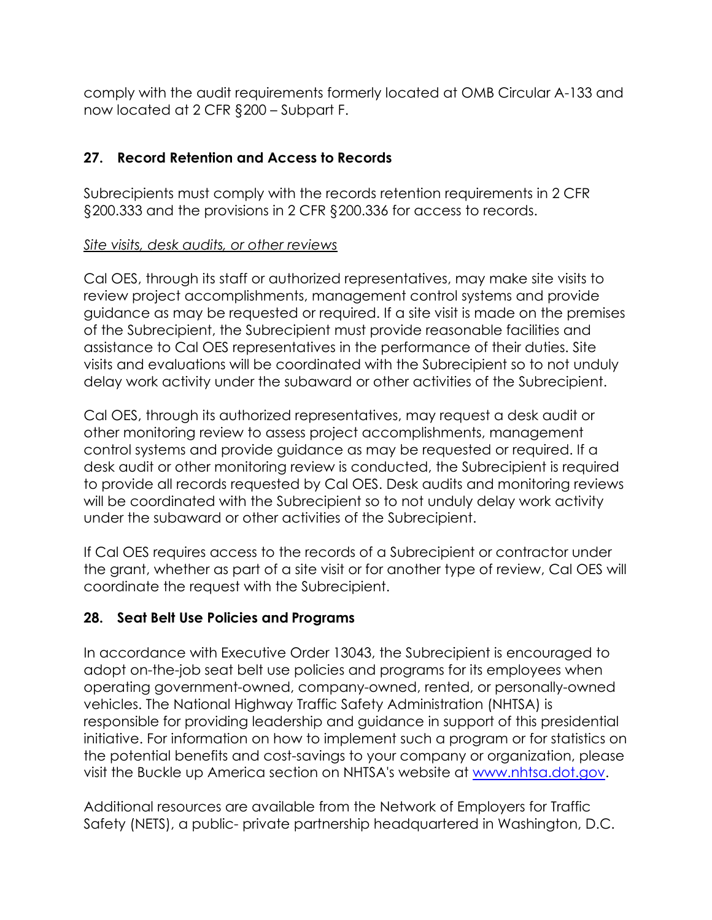comply with the audit requirements formerly located at OMB Circular A-133 and now located at 2 CFR §200 – Subpart F.

## **27. Record Retention and Access to Records**

Subrecipients must comply with the records retention requirements in 2 CFR §200.333 and the provisions in 2 CFR §200.336 for access to records.

## *Site visits, desk audits, or other reviews*

Cal OES, through its staff or authorized representatives, may make site visits to review project accomplishments, management control systems and provide guidance as may be requested or required. If a site visit is made on the premises of the Subrecipient, the Subrecipient must provide reasonable facilities and assistance to Cal OES representatives in the performance of their duties. Site visits and evaluations will be coordinated with the Subrecipient so to not unduly delay work activity under the subaward or other activities of the Subrecipient.

Cal OES, through its authorized representatives, may request a desk audit or other monitoring review to assess project accomplishments, management control systems and provide guidance as may be requested or required. If a desk audit or other monitoring review is conducted, the Subrecipient is required to provide all records requested by Cal OES. Desk audits and monitoring reviews will be coordinated with the Subrecipient so to not unduly delay work activity under the subaward or other activities of the Subrecipient.

If Cal OES requires access to the records of a Subrecipient or contractor under the grant, whether as part of a site visit or for another type of review, Cal OES will coordinate the request with the Subrecipient.

## **28. Seat Belt Use Policies and Programs**

In accordance with Executive Order 13043, the Subrecipient is encouraged to adopt on-the-job seat belt use policies and programs for its employees when operating government-owned, company-owned, rented, or personally-owned vehicles. The National Highway Traffic Safety Administration (NHTSA) is responsible for providing leadership and guidance in support of this presidential initiative. For information on how to implement such a program or for statistics on the potential benefits and cost-savings to your company or organization, please visit the Buckle up America section on NHTSA's website at [www.nhtsa.dot.gov.](http://www.nhtsa.dot.gov/)

Additional resources are available from the Network of Employers for Traffic Safety (NETS), a public- private partnership headquartered in Washington, D.C.